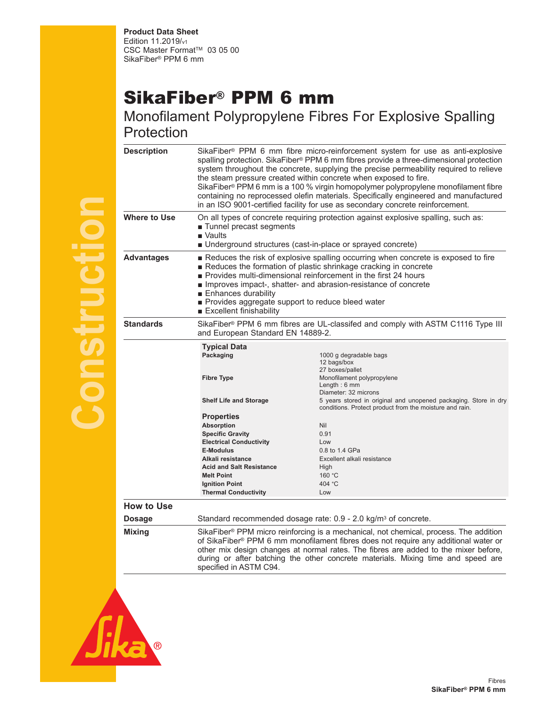## SikaFiber® PPM 6 mm

Monofilament Polypropylene Fibres For Explosive Spalling **Protection** 

| <b>Description</b> | SikaFiber <sup>®</sup> PPM 6 mm fibre micro-reinforcement system for use as anti-explosive<br>spalling protection. SikaFiber® PPM 6 mm fibres provide a three-dimensional protection<br>system throughout the concrete, supplying the precise permeability required to relieve<br>the steam pressure created within concrete when exposed to fire.<br>SikaFiber® PPM 6 mm is a 100 % virgin homopolymer polypropylene monofilament fibre<br>containing no reprocessed olefin materials. Specifically engineered and manufactured<br>in an ISO 9001-certified facility for use as secondary concrete reinforcement. |                                                                                                                                                                                                                                                                        |
|--------------------|--------------------------------------------------------------------------------------------------------------------------------------------------------------------------------------------------------------------------------------------------------------------------------------------------------------------------------------------------------------------------------------------------------------------------------------------------------------------------------------------------------------------------------------------------------------------------------------------------------------------|------------------------------------------------------------------------------------------------------------------------------------------------------------------------------------------------------------------------------------------------------------------------|
| Where to Use       | On all types of concrete requiring protection against explosive spalling, such as:<br>Tunnel precast segments<br>$\blacksquare$ Vaults<br>Underground structures (cast-in-place or sprayed concrete)                                                                                                                                                                                                                                                                                                                                                                                                               |                                                                                                                                                                                                                                                                        |
| <b>Advantages</b>  | Reduces the risk of explosive spalling occurring when concrete is exposed to fire<br>Reduces the formation of plastic shrinkage cracking in concrete<br>Provides multi-dimensional reinforcement in the first 24 hours<br>Improves impact-, shatter- and abrasion-resistance of concrete<br>■ Enhances durability<br>Provides aggregate support to reduce bleed water<br>Excellent finishability                                                                                                                                                                                                                   |                                                                                                                                                                                                                                                                        |
| <b>Standards</b>   | SikaFiber® PPM 6 mm fibres are UL-classifed and comply with ASTM C1116 Type III<br>and European Standard EN 14889-2.                                                                                                                                                                                                                                                                                                                                                                                                                                                                                               |                                                                                                                                                                                                                                                                        |
|                    | <b>Typical Data</b><br>Packaging<br><b>Fibre Type</b><br><b>Shelf Life and Storage</b>                                                                                                                                                                                                                                                                                                                                                                                                                                                                                                                             | 1000 g degradable bags<br>12 bags/box<br>27 boxes/pallet<br>Monofilament polypropylene<br>Length: $6 \text{ mm}$<br>Diameter: 32 microns<br>5 years stored in original and unopened packaging. Store in dry<br>conditions. Protect product from the moisture and rain. |
|                    | <b>Properties</b><br><b>Absorption</b><br><b>Specific Gravity</b><br><b>Electrical Conductivity</b><br><b>E-Modulus</b><br>Alkali resistance<br><b>Acid and Salt Resistance</b><br><b>Melt Point</b><br><b>Ignition Point</b><br><b>Thermal Conductivity</b>                                                                                                                                                                                                                                                                                                                                                       | Nil<br>0.91<br>$\log$<br>0.8 to 1.4 GPa<br>Excellent alkali resistance<br>High<br>160 °C<br>404 °C<br>Low                                                                                                                                                              |
| <b>How to Use</b>  |                                                                                                                                                                                                                                                                                                                                                                                                                                                                                                                                                                                                                    |                                                                                                                                                                                                                                                                        |
| <b>Dosage</b>      | Standard recommended dosage rate: 0.9 - 2.0 kg/m <sup>3</sup> of concrete.                                                                                                                                                                                                                                                                                                                                                                                                                                                                                                                                         |                                                                                                                                                                                                                                                                        |
| <b>Mixing</b>      | SikaFiber® PPM micro reinforcing is a mechanical, not chemical, process. The addition<br>of SikaFiber® PPM 6 mm monofilament fibres does not require any additional water or<br>other mix design changes at normal rates. The fibres are added to the mixer before,<br>during or after batching the other concrete materials. Mixing time and speed are<br>specified in ASTM C94.                                                                                                                                                                                                                                  |                                                                                                                                                                                                                                                                        |